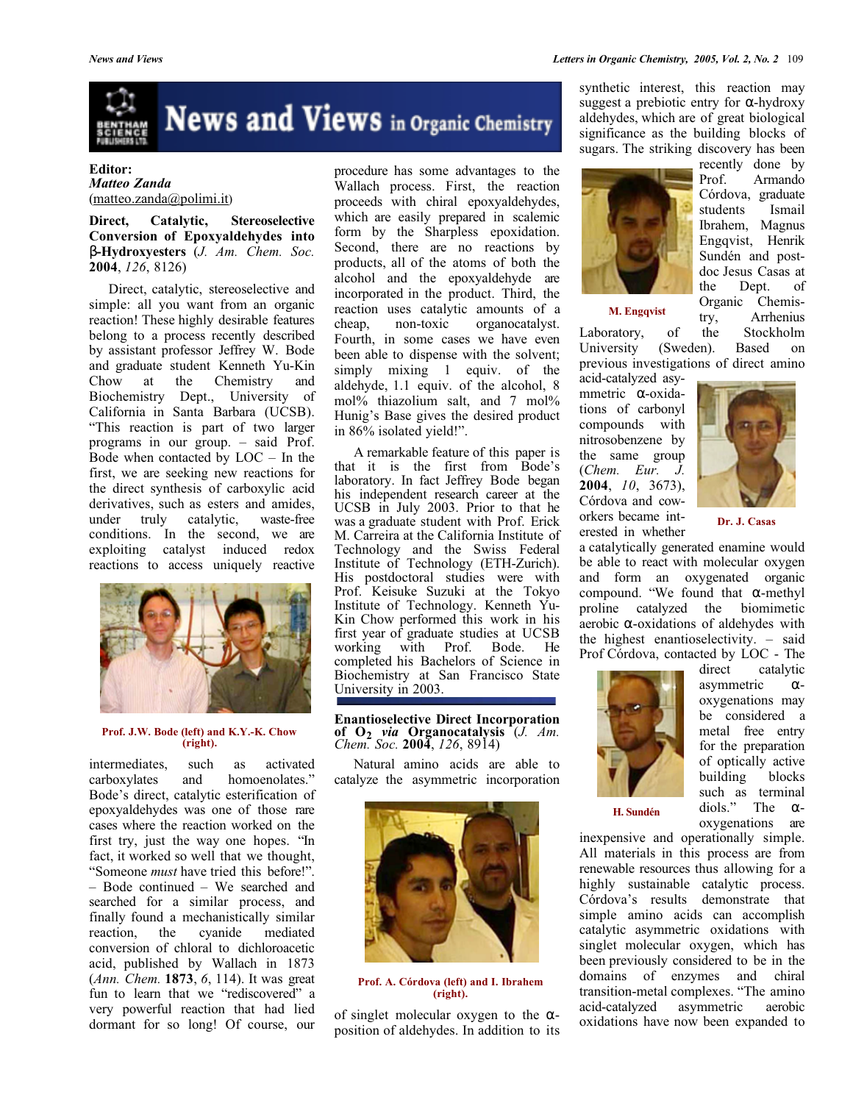

## **Editor:** *Matteo Zanda* (matteo.zanda@polimi.it)

**Direct, Catalytic, Stereoselective Conversion of Epoxyaldehydes into** β**-Hydroxyesters** (*J. Am. Chem. Soc.* **2004**, *126*, 8126)

Direct, catalytic, stereoselective and simple: all you want from an organic reaction! These highly desirable features belong to a process recently described by assistant professor Jeffrey W. Bode and graduate student Kenneth Yu-Kin Chow at the Chemistry and Biochemistry Dept., University of California in Santa Barbara (UCSB). "This reaction is part of two larger programs in our group. – said Prof. Bode when contacted by LOC – In the first, we are seeking new reactions for the direct synthesis of carboxylic acid derivatives, such as esters and amides, under truly catalytic, waste-free conditions. In the second, we are exploiting catalyst induced redox reactions to access uniquely reactive



#### **Prof. J.W. Bode (left) and K.Y.-K. Chow (right).**

intermediates, such as activated carboxylates and homoenolates." Bode's direct, catalytic esterification of epoxyaldehydes was one of those rare cases where the reaction worked on the first try, just the way one hopes. "In fact, it worked so well that we thought, "Someone *must* have tried this before!". – Bode continued – We searched and searched for a similar process, and finally found a mechanistically similar reaction, the cyanide mediated conversion of chloral to dichloroacetic acid, published by Wallach in 1873 (*Ann. Chem.* **1873**, *6*, 114). It was great fun to learn that we "rediscovered" a very powerful reaction that had lied dormant for so long! Of course, our procedure has some advantages to the Wallach process. First, the reaction proceeds with chiral epoxyaldehydes, which are easily prepared in scalemic form by the Sharpless epoxidation. Second, there are no reactions by products, all of the atoms of both the alcohol and the epoxyaldehyde are incorporated in the product. Third, the reaction uses catalytic amounts of a cheap, non-toxic organocatalyst. Fourth, in some cases we have even been able to dispense with the solvent; simply mixing 1 equiv. of the aldehyde, 1.1 equiv. of the alcohol, 8 mol% thiazolium salt, and 7 mol% Hunig's Base gives the desired product in 86% isolated yield!".

A remarkable feature of this paper is that it is the first from Bode's laboratory. In fact Jeffrey Bode began his independent research career at the UCSB in July 2003. Prior to that he was a graduate student with Prof. Erick M. Carreira at the California Institute of Technology and the Swiss Federal Institute of Technology (ETH-Zurich). His postdoctoral studies were with Prof. Keisuke Suzuki at the Tokyo Institute of Technology. Kenneth Yu-Kin Chow performed this work in his first year of graduate studies at UCSB working with Prof. Bode. He completed his Bachelors of Science in Biochemistry at San Francisco State University in 2003.

# **Enantioselective Direct Incorporation of O2** *via* **Organocatalysis** (*J. Am. Chem. Soc.* **2004**, *126*, 8914)

Natural amino acids are able to catalyze the asymmetric incorporation



**Prof. A. Córdova (left) and I. Ibrahem (right).**

of singlet molecular oxygen to the  $\alpha$ position of aldehydes. In addition to its synthetic interest, this reaction may suggest a prebiotic entry for  $\alpha$ -hydroxy aldehydes, which are of great biological significance as the building blocks of sugars. The striking discovery has been



recently done by<br>Prof. Armando Armando Córdova, graduate students Ismail Ibrahem, Magnus Engqvist, Henrik Sundén and postdoc Jesus Casas at the Dept. of Organic Chemistry, Arrhenius

**M. Engqvist**

Laboratory, of

University (Sweden). Based on previous investigations of direct amino

acid-catalyzed asymmetric α-oxidations of carbonyl compounds with nitrosobenzene by the same group (*Chem. Eur. J.* **2004**, *10*, 3673), Córdova and coworkers became interested in whether



**Dr. J. Casas**

a catalytically generated enamine would be able to react with molecular oxygen and form an oxygenated organic compound. "We found that α-methyl proline catalyzed the biomimetic aerobic  $\alpha$ -oxidations of aldehydes with the highest enantioselectivity. – said Prof Córdova, contacted by LOC - The



direct catalytic asymmetric αoxygenations may be considered a metal free entry for the preparation of optically active building blocks such as terminal diols." The αoxygenations are

**H. Sundén**

inexpensive and operationally simple. All materials in this process are from renewable resources thus allowing for a highly sustainable catalytic process. Córdova's results demonstrate that simple amino acids can accomplish catalytic asymmetric oxidations with singlet molecular oxygen, which has been previously considered to be in the domains of enzymes and chiral transition-metal complexes. "The amino acid-catalyzed asymmetric aerobic oxidations have now been expanded to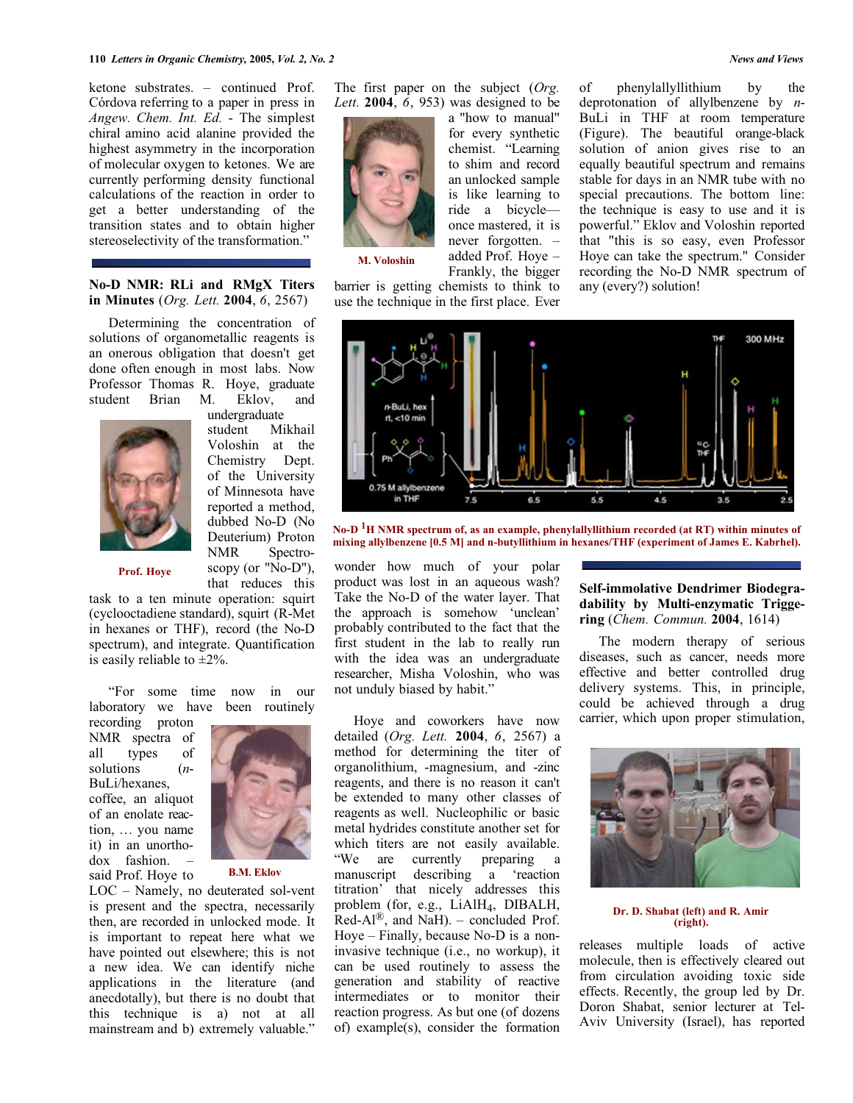ketone substrates. – continued Prof. Córdova referring to a paper in press in *Angew. Chem. Int. Ed.* - The simplest chiral amino acid alanine provided the highest asymmetry in the incorporation of molecular oxygen to ketones. We are currently performing density functional calculations of the reaction in order to get a better understanding of the transition states and to obtain higher stereoselectivity of the transformation."

#### **No-D NMR: RLi and RMgX Titers in Minutes** (*Org. Lett.* **2004**, *6*, 2567)

Determining the concentration of solutions of organometallic reagents is an onerous obligation that doesn't get done often enough in most labs. Now Professor Thomas R. Hoye, graduate student Brian M. Eklov, and



undergraduate student Mikhail Voloshin at the Chemistry Dept. of the University of Minnesota have reported a method, dubbed No-D (No Deuterium) Proton NMR Spectroscopy (or "No-D"), that reduces this

**Prof. Hoye**

task to a ten minute operation: squirt (cyclooctadiene standard), squirt (R-Met in hexanes or THF), record (the No-D spectrum), and integrate. Quantification is easily reliable to  $\pm 2\%$ .

"For some time now in our laboratory we have been routinely

recording proton NMR spectra of all types of solutions (*n*-BuLi/hexanes, coffee, an aliquot of an enolate reaction, … you name it) in an unorthodox fashion. said Prof. Hoye to



**B.M. Eklov**

LOC – Namely, no deuterated sol-vent is present and the spectra, necessarily then, are recorded in unlocked mode. It is important to repeat here what we have pointed out elsewhere; this is not a new idea. We can identify niche applications in the literature (and anecdotally), but there is no doubt that this technique is a) not at all mainstream and b) extremely valuable."

The first paper on the subject (*Org. Lett.* **2004**, *6*, 953) was designed to be



**M. Voloshin**

a "how to manual" for every synthetic chemist. "Learning to shim and record an unlocked sample is like learning to ride a bicycle once mastered, it is never forgotten. – added Prof. Hoye – Frankly, the bigger of phenylallyllithium by the deprotonation of allylbenzene by *n*-BuLi in THF at room temperature (Figure). The beautiful orange-black solution of anion gives rise to an equally beautiful spectrum and remains stable for days in an NMR tube with no special precautions. The bottom line: the technique is easy to use and it is powerful." Eklov and Voloshin reported that "this is so easy, even Professor Hoye can take the spectrum." Consider recording the No-D NMR spectrum of any (every?) solution!



**No-D 1H NMR spectrum of, as an example, phenylallyllithium recorded (at RT) within minutes of mixing allylbenzene [0.5 M] and n-butyllithium in hexanes/THF (experiment of James E. Kabrhel).**

wonder how much of your polar product was lost in an aqueous wash? Take the No-D of the water layer. That the approach is somehow 'unclean' probably contributed to the fact that the first student in the lab to really run with the idea was an undergraduate researcher, Misha Voloshin, who was not unduly biased by habit."

Hoye and coworkers have now detailed (*Org. Lett.* **2004**, *6*, 2567) a method for determining the titer of organolithium, -magnesium, and -zinc reagents, and there is no reason it can't be extended to many other classes of reagents as well. Nucleophilic or basic metal hydrides constitute another set for which titers are not easily available. "We are currently preparing a manuscript describing a 'reaction titration' that nicely addresses this problem (for, e.g., LiAlH<sub>4</sub>, DIBALH, Red-Al<sup>®</sup>, and NaH). – concluded Prof. Hoye – Finally, because No-D is a noninvasive technique (i.e., no workup), it can be used routinely to assess the generation and stability of reactive intermediates or to monitor their reaction progress. As but one (of dozens of) example(s), consider the formation

## **Self-immolative Dendrimer Biodegradability by Multi-enzymatic Triggering** (*Chem. Commun.* **2004**, 1614)

The modern therapy of serious diseases, such as cancer, needs more effective and better controlled drug delivery systems. This, in principle, could be achieved through a drug carrier, which upon proper stimulation,



#### **Dr. D. Shabat (left) and R. Amir (right).**

releases multiple loads of active molecule, then is effectively cleared out from circulation avoiding toxic side effects. Recently, the group led by Dr. Doron Shabat, senior lecturer at Tel-Aviv University (Israel), has reported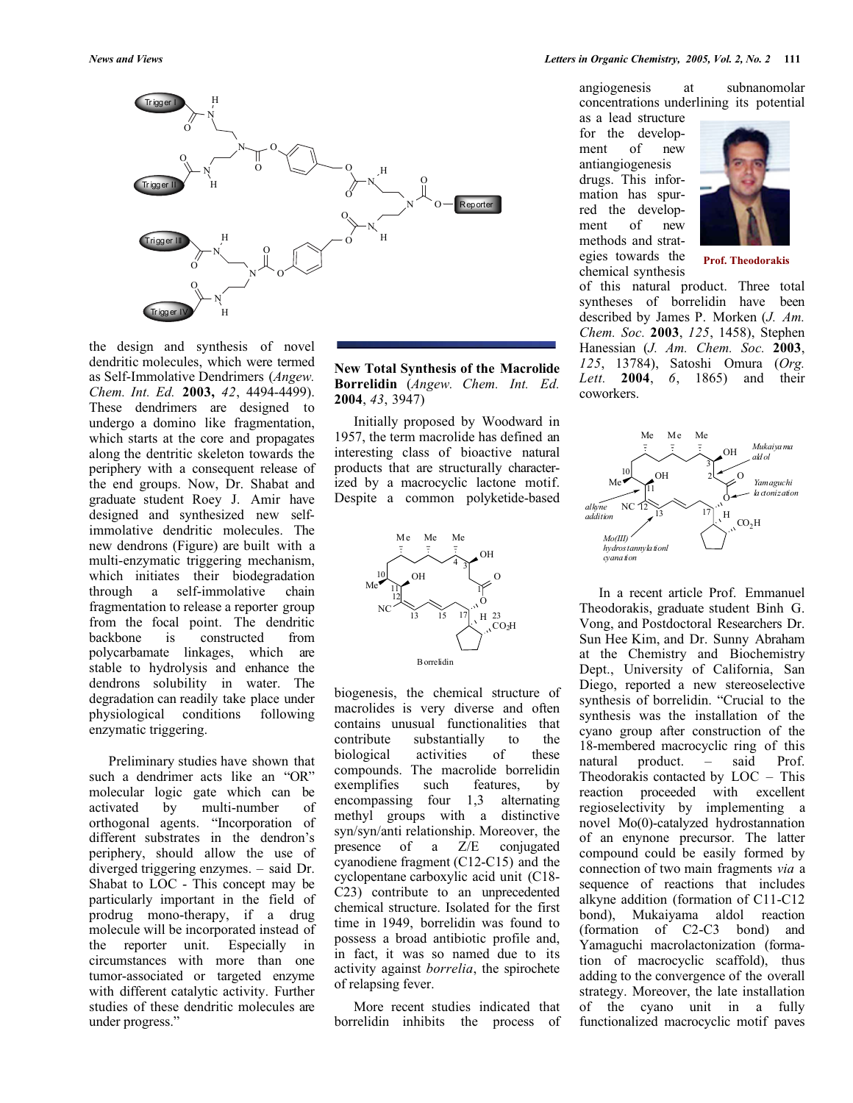

the design and synthesis of novel dendritic molecules, which were termed as Self-Immolative Dendrimers (*Angew. Chem. Int. Ed.* **2003,** *42*, 4494-4499). These dendrimers are designed to undergo a domino like fragmentation, which starts at the core and propagates along the dentritic skeleton towards the periphery with a consequent release of the end groups. Now, Dr. Shabat and graduate student Roey J. Amir have designed and synthesized new selfimmolative dendritic molecules. The new dendrons (Figure) are built with a multi-enzymatic triggering mechanism, which initiates their biodegradation through a self-immolative chain fragmentation to release a reporter group from the focal point. The dendritic<br>backbone is constructed from backbone is constructed polycarbamate linkages, which are stable to hydrolysis and enhance the dendrons solubility in water. The degradation can readily take place under physiological conditions following enzymatic triggering.

Preliminary studies have shown that such a dendrimer acts like an "OR" molecular logic gate which can be activated by multi-number of orthogonal agents. "Incorporation of different substrates in the dendron's periphery, should allow the use of diverged triggering enzymes. – said Dr. Shabat to LOC - This concept may be particularly important in the field of prodrug mono-therapy, if a drug molecule will be incorporated instead of the reporter unit. Especially in circumstances with more than one tumor-associated or targeted enzyme with different catalytic activity. Further studies of these dendritic molecules are under progress."

**New Total Synthesis of the Macrolide Borrelidin** (*Angew. Chem. Int. Ed.* **2004**, *43*, 3947)

Initially proposed by Woodward in 1957, the term macrolide has defined an interesting class of bioactive natural products that are structurally characterized by a macrocyclic lactone motif. Despite a common polyketide-based



biogenesis, the chemical structure of macrolides is very diverse and often contains unusual functionalities that contribute substantially to the biological activities of these compounds. The macrolide borrelidin exemplifies such features, by encompassing four 1,3 alternating methyl groups with a distinctive syn/syn/anti relationship. Moreover, the presence of a Z/E conjugated cyanodiene fragment (C12-C15) and the cyclopentane carboxylic acid unit (C18- C23) contribute to an unprecedented chemical structure. Isolated for the first time in 1949, borrelidin was found to possess a broad antibiotic profile and, in fact, it was so named due to its activity against *borrelia*, the spirochete of relapsing fever.

More recent studies indicated that borrelidin inhibits the process of angiogenesis at subnanomolar concentrations underlining its potential

as a lead structure for the development of new antiangiogenesis drugs. This information has spurred the development of new methods and strategies towards the chemical synthesis



**Prof. Theodorakis**

of this natural product. Three total syntheses of borrelidin have been described by James P. Morken (*J. Am. Chem. Soc.* **2003**, *125*, 1458), Stephen Hanessian (*J. Am. Chem. Soc.* **2003**, *125*, 13784), Satoshi Omura (*Org. Lett.* **2004**, *6*, 1865) and their coworkers.



In a recent article Prof. Emmanuel Theodorakis, graduate student Binh G. Vong, and Postdoctoral Researchers Dr. Sun Hee Kim, and Dr. Sunny Abraham at the Chemistry and Biochemistry Dept., University of California, San Diego, reported a new stereoselective synthesis of borrelidin. "Crucial to the synthesis was the installation of the cyano group after construction of the 18-membered macrocyclic ring of this natural product. – said Prof. Theodorakis contacted by LOC – This reaction proceeded with excellent regioselectivity by implementing a novel Mo(0)-catalyzed hydrostannation of an enynone precursor. The latter compound could be easily formed by connection of two main fragments *via* a sequence of reactions that includes alkyne addition (formation of C11-C12 bond), Mukaiyama aldol reaction (formation of C2-C3 bond) and Yamaguchi macrolactonization (formation of macrocyclic scaffold), thus adding to the convergence of the overall strategy. Moreover, the late installation of the cyano unit in a fully functionalized macrocyclic motif paves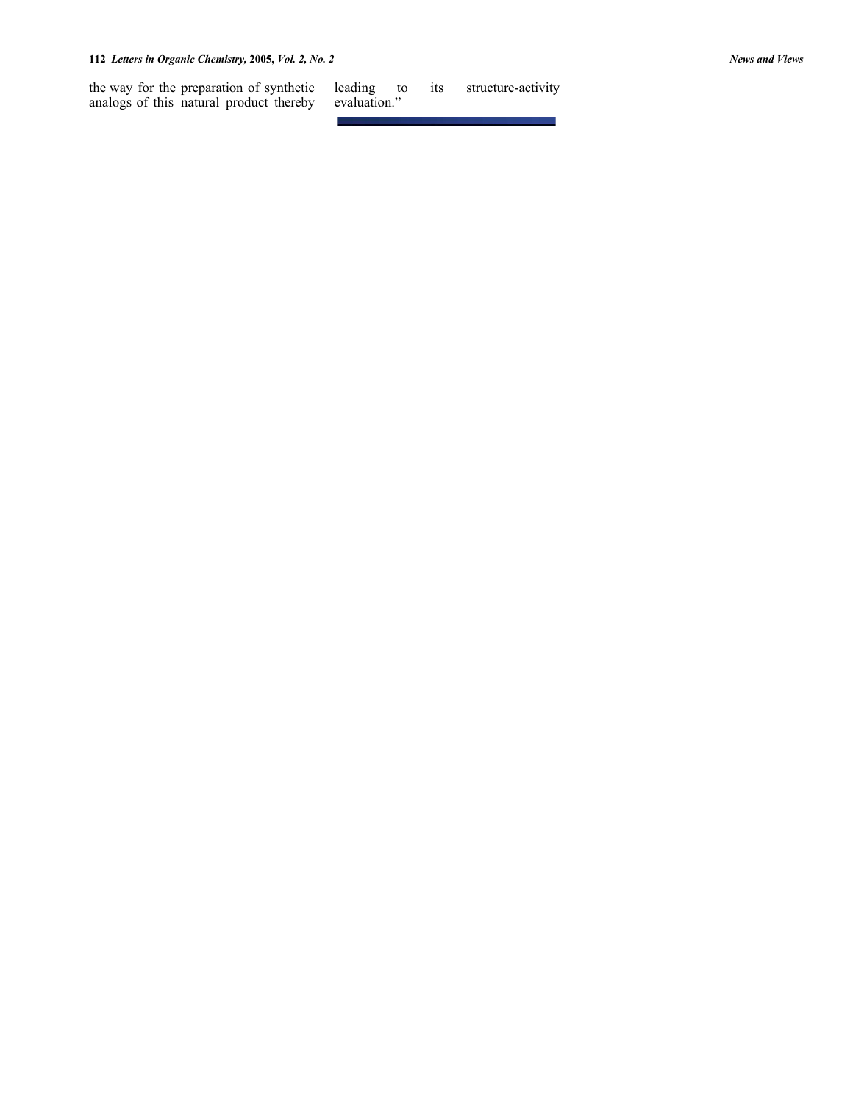the way for the preparation of synthetic analogs of this natural product thereby

its structure-activity leading to<br>evaluation."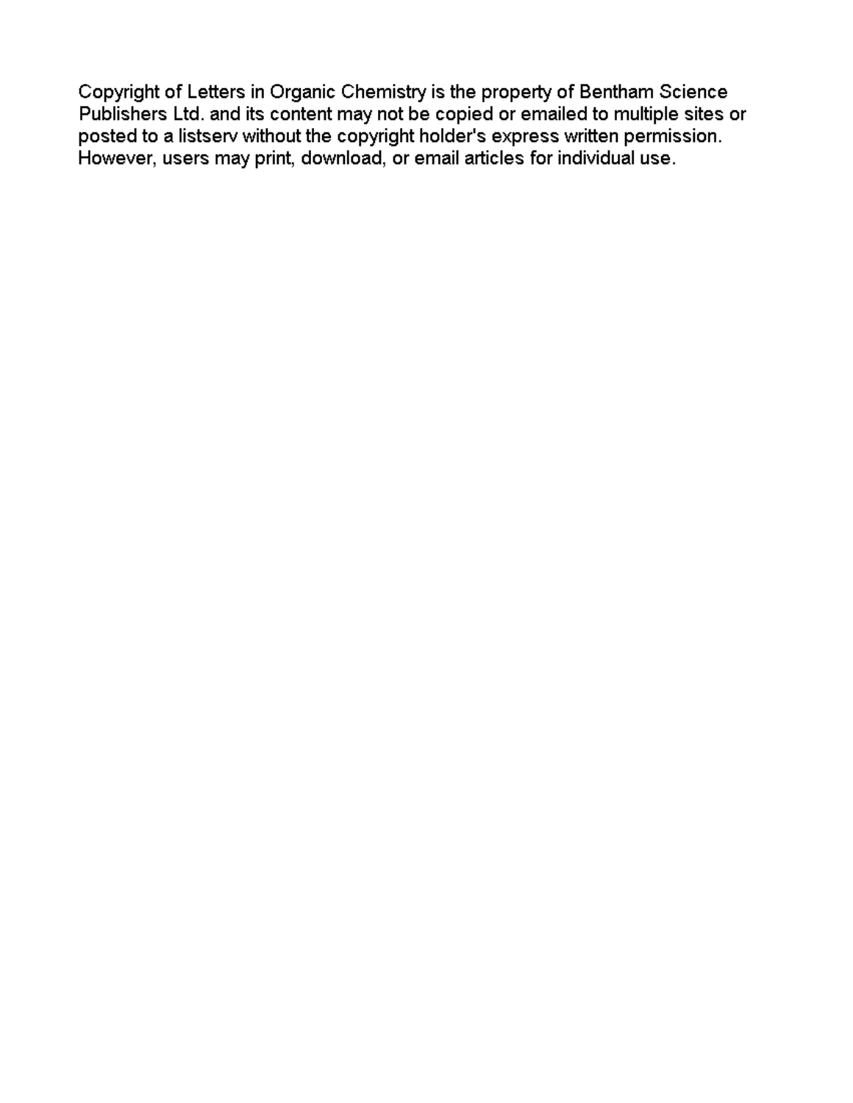Copyright of Letters in Organic Chemistry is the property of Bentham Science Publishers Ltd. and its content may not be copied or emailed to multiple sites or posted to a listserv without the copyright holder's express written permission. However, users may print, download, or email articles for individual use.